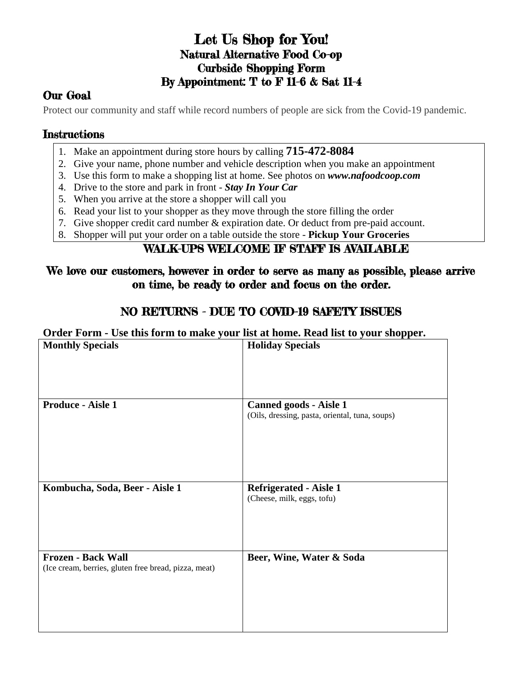# Let Us Shop for You! Natural Alternative Food Co-op Curbside Shopping Form By Appointment: T to F 11-6 & Sat 11-4

## Our Goal

Protect our community and staff while record numbers of people are sick from the Covid-19 pandemic.

#### **Instructions**

- 1. Make an appointment during store hours by calling **715-472-8084**
- 2. Give your name, phone number and vehicle description when you make an appointment
- 3. Use this form to make a shopping list at home. See photos on *www.nafoodcoop.com*
- 4. Drive to the store and park in front *Stay In Your Car*
- 5. When you arrive at the store a shopper will call you
- 6. Read your list to your shopper as they move through the store filling the order
- 7. Give shopper credit card number & expiration date. Or deduct from pre-paid account.
- 8. Shopper will put your order on a table outside the store **Pickup Your Groceries**

#### WALK-UPS WELCOME IF STAFF IS AVAILABLE

#### We love our customers, however in order to serve as many as possible, please arrive on time, be ready to order and focus on the order.

### NO RETURNS - DUE TO COVID-19 SAFETY ISSUES

**Order Form - Use this form to make your list at home. Read list to your shopper.**

| <b>Monthly Specials</b>                                                           | <b>Holiday Specials</b>                                                         |
|-----------------------------------------------------------------------------------|---------------------------------------------------------------------------------|
|                                                                                   |                                                                                 |
| <b>Produce - Aisle 1</b>                                                          | <b>Canned goods - Aisle 1</b><br>(Oils, dressing, pasta, oriental, tuna, soups) |
| Kombucha, Soda, Beer - Aisle 1                                                    | <b>Refrigerated - Aisle 1</b><br>(Cheese, milk, eggs, tofu)                     |
| <b>Frozen - Back Wall</b><br>(Ice cream, berries, gluten free bread, pizza, meat) | Beer, Wine, Water & Soda                                                        |